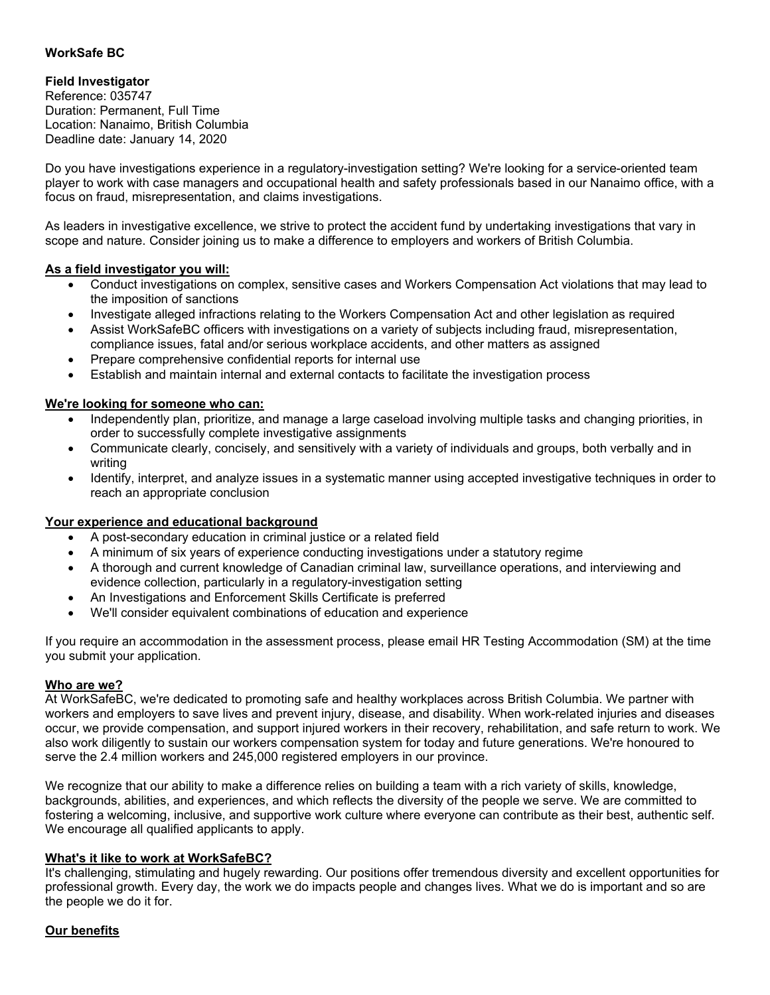## **WorkSafe BC**

# **Field Investigator**

Reference: 035747 Duration: Permanent, Full Time Location: Nanaimo, British Columbia Deadline date: January 14, 2020

Do you have investigations experience in a regulatory-investigation setting? We're looking for a service-oriented team player to work with case managers and occupational health and safety professionals based in our Nanaimo office, with a focus on fraud, misrepresentation, and claims investigations.

As leaders in investigative excellence, we strive to protect the accident fund by undertaking investigations that vary in scope and nature. Consider joining us to make a difference to employers and workers of British Columbia.

### **As a field investigator you will:**

- Conduct investigations on complex, sensitive cases and Workers Compensation Act violations that may lead to the imposition of sanctions
- Investigate alleged infractions relating to the Workers Compensation Act and other legislation as required
- Assist WorkSafeBC officers with investigations on a variety of subjects including fraud, misrepresentation, compliance issues, fatal and/or serious workplace accidents, and other matters as assigned
- Prepare comprehensive confidential reports for internal use
- Establish and maintain internal and external contacts to facilitate the investigation process

### **We're looking for someone who can:**

- Independently plan, prioritize, and manage a large caseload involving multiple tasks and changing priorities, in order to successfully complete investigative assignments
- Communicate clearly, concisely, and sensitively with a variety of individuals and groups, both verbally and in writing
- Identify, interpret, and analyze issues in a systematic manner using accepted investigative techniques in order to reach an appropriate conclusion

#### **Your experience and educational background**

- A post-secondary education in criminal justice or a related field
- A minimum of six years of experience conducting investigations under a statutory regime
- A thorough and current knowledge of Canadian criminal law, surveillance operations, and interviewing and evidence collection, particularly in a regulatory-investigation setting
- An Investigations and Enforcement Skills Certificate is preferred
- We'll consider equivalent combinations of education and experience

If you require an accommodation in the assessment process, please email HR Testing Accommodation (SM) at the time you submit your application.

#### **Who are we?**

At WorkSafeBC, we're dedicated to promoting safe and healthy workplaces across British Columbia. We partner with workers and employers to save lives and prevent injury, disease, and disability. When work-related injuries and diseases occur, we provide compensation, and support injured workers in their recovery, rehabilitation, and safe return to work. We also work diligently to sustain our workers compensation system for today and future generations. We're honoured to serve the 2.4 million workers and 245,000 registered employers in our province.

We recognize that our ability to make a difference relies on building a team with a rich variety of skills, knowledge, backgrounds, abilities, and experiences, and which reflects the diversity of the people we serve. We are committed to fostering a welcoming, inclusive, and supportive work culture where everyone can contribute as their best, authentic self. We encourage all qualified applicants to apply.

#### **What's it like to work at WorkSafeBC?**

It's challenging, stimulating and hugely rewarding. Our positions offer tremendous diversity and excellent opportunities for professional growth. Every day, the work we do impacts people and changes lives. What we do is important and so are the people we do it for.

### **Our benefits**